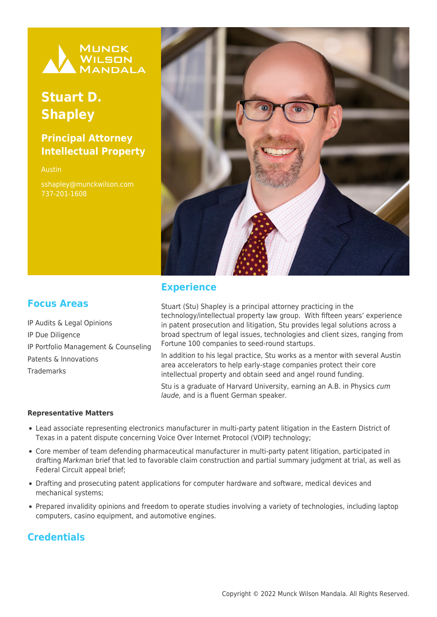

# **Stuart D. Shapley**

# **Principal Attorney Intellectual Property**

Austin sshapley@munckwilson.com 737-201-1608



#### **Experience**

#### **Focus Areas**

IP Audits & Legal Opinions IP Due Diligence IP Portfolio Management & Counseling Patents & Innovations **Trademarks** 

Stuart (Stu) Shapley is a principal attorney practicing in the technology/intellectual property law group. With fifteen years' experience in patent prosecution and litigation, Stu provides legal solutions across a broad spectrum of legal issues, technologies and client sizes, ranging from Fortune 100 companies to seed-round startups.

In addition to his legal practice, Stu works as a mentor with several Austin area accelerators to help early-stage companies protect their core intellectual property and obtain seed and angel round funding.

Stu is a graduate of Harvard University, earning an A.B. in Physics cum laude, and is a fluent German speaker.

#### **Representative Matters**

- Lead associate representing electronics manufacturer in multi-party patent litigation in the Eastern District of Texas in a patent dispute concerning Voice Over Internet Protocol (VOIP) technology;
- Core member of team defending pharmaceutical manufacturer in multi-party patent litigation, participated in drafting Markman brief that led to favorable claim construction and partial summary judgment at trial, as well as Federal Circuit appeal brief;
- Drafting and prosecuting patent applications for computer hardware and software, medical devices and mechanical systems;
- Prepared invalidity opinions and freedom to operate studies involving a variety of technologies, including laptop computers, casino equipment, and automotive engines.

### **Credentials**